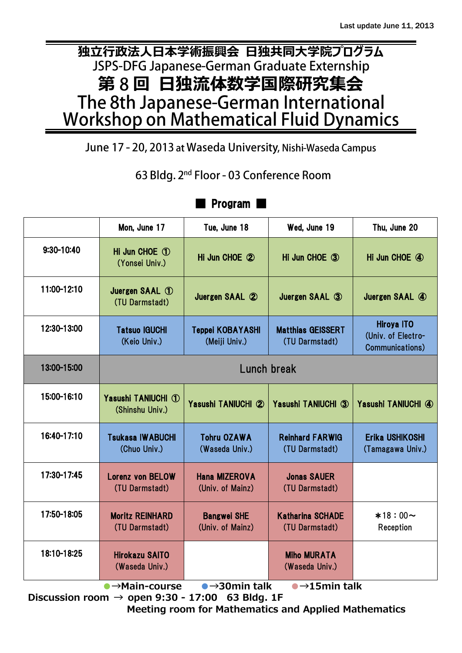# **独立行政法人日本学術振興会 日独共同大学院プログラム** JSPS-DFG Japanese-German Graduate Externship **第 回 日独流体数学国際研究集会** The 8th Japanese-German International<br>Workshop on Mathematical Fluid Dynamics

June 17 - 20, 2013 at Waseda University, Nishi-Waseda Campus

63 Bldg. 2<sup>nd</sup> Floor - 03 Conference Room

|                                                                                                                 | Mon, June 17                                 | Tue, June 18                             | Wed, June 19                               | Thu, June 20                                               |
|-----------------------------------------------------------------------------------------------------------------|----------------------------------------------|------------------------------------------|--------------------------------------------|------------------------------------------------------------|
| $9:30 - 10:40$                                                                                                  | Hi Jun CHOE ①<br>(Yonsei Univ.)              | Hi Jun CHOE 2                            | Hi Jun CHOE 3                              | Hi Jun CHOE 4                                              |
| 11:00-12:10                                                                                                     | Juergen SAAL $\circled{1}$<br>(TU Darmstadt) | Juergen SAAL 2                           | Juergen SAAL 3                             | Juergen SAAL 4                                             |
| 12:30-13:00                                                                                                     | <b>Tatsuo IGUCHI</b><br>(Keio Univ.)         | <b>Teppei KOBAYASHI</b><br>(Meiji Univ.) | <b>Matthias GEISSERT</b><br>(TU Darmstadt) | <b>Hiroya ITO</b><br>(Univ. of Electro-<br>Communications) |
| 13:00-15:00                                                                                                     | Lunch break                                  |                                          |                                            |                                                            |
| 15:00-16:10                                                                                                     | Yasushi TANIUCHI 1<br>(Shinshu Univ.)        | Yasushi TANIUCHI 2                       | Yasushi TANIUCHI 3                         | Yasushi TANIUCHI 4                                         |
| 16:40-17:10                                                                                                     | <b>Tsukasa IWABUCHI</b><br>(Chuo Univ.)      | <b>Tohru OZAWA</b><br>(Waseda Univ.)     | <b>Reinhard FARWIG</b><br>(TU Darmstadt)   | Erika USHIKOSHI<br>(Tamagawa Univ.)                        |
| 17:30-17:45                                                                                                     | <b>Lorenz von BELOW</b><br>(TU Darmstadt)    | <b>Hana MIZEROVA</b><br>(Univ. of Mainz) | <b>Jonas SAUER</b><br>(TU Darmstadt)       |                                                            |
| 17:50-18:05                                                                                                     | <b>Moritz REINHARD</b><br>(TU Darmstadt)     | <b>Bangwei SHE</b><br>(Univ. of Mainz)   | <b>Katharina SCHADE</b><br>(TU Darmstadt)  | $*18:00 \sim$<br>Reception                                 |
| 18:10-18:25                                                                                                     | <b>Hirokazu SAITO</b><br>(Waseda Univ.)      |                                          | <b>Miho MURATA</b><br>(Waseda Univ.)       |                                                            |
| $\bullet$ $\rightarrow$ 30 min talk<br>$\bullet$ $\rightarrow$ 15 min talk<br>$\bullet \rightarrow$ Main-course |                                              |                                          |                                            |                                                            |

# ■ Program ■

Discussion room  $\rightarrow$  open 9:30 - 17:00 63 Bldg. 1F Meeting room for Mathematics and Applied Mathematics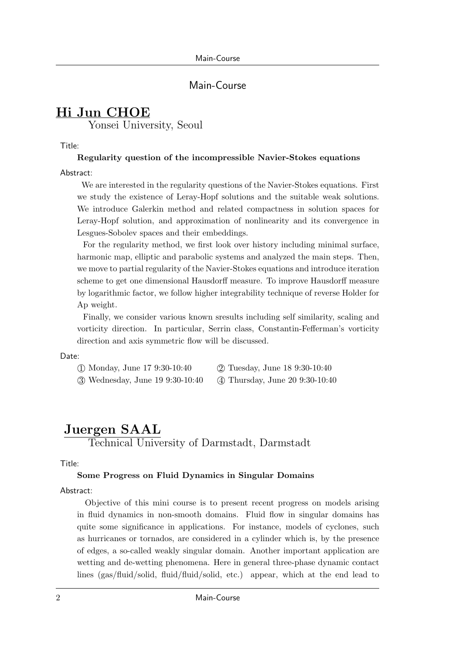### Main-Course

# **Hi Jun CHOE**

Yonsei University, Seoul

Title:

### **Regularity question of the incompressible Navier-Stokes equations**

Abstract:

We are interested in the regularity questions of the Navier-Stokes equations. First we study the existence of Leray-Hopf solutions and the suitable weak solutions. We introduce Galerkin method and related compactness in solution spaces for Leray-Hopf solution, and approximation of nonlinearity and its convergence in Lesgues-Sobolev spaces and their embeddings.

For the regularity method, we first look over history including minimal surface, harmonic map, elliptic and parabolic systems and analyzed the main steps. Then, we move to partial regularity of the Navier-Stokes equations and introduce iteration scheme to get one dimensional Hausdorff measure. To improve Hausdorff measure by logarithmic factor, we follow higher integrability technique of reverse Holder for Ap weight.

Finally, we consider various known sresults including self similarity, scaling and vorticity direction. In particular, Serrin class, Constantin-Fefferman's vorticity direction and axis symmetric flow will be discussed.

### Date:

| (1) Monday, June 17 9:30-10:40   | (2) Tuesday, June 18 9:30-10:40  |
|----------------------------------|----------------------------------|
| 3) Wednesday, June 19 9:30-10:40 | (4) Thursday, June 20 9:30-10:40 |

# **Juergen SAAL**

Technical University of Darmstadt, Darmstadt

Title:

### **Some Progress on Fluid Dynamics in Singular Domains**

### Abstract:

Objective of this mini course is to present recent progress on models arising in fluid dynamics in non-smooth domains. Fluid flow in singular domains has quite some significance in applications. For instance, models of cyclones, such as hurricanes or tornados, are considered in a cylinder which is, by the presence of edges, a so-called weakly singular domain. Another important application are wetting and de-wetting phenomena. Here in general three-phase dynamic contact lines (gas/fluid/solid, fluid/fluid/solid, etc.) appear, which at the end lead to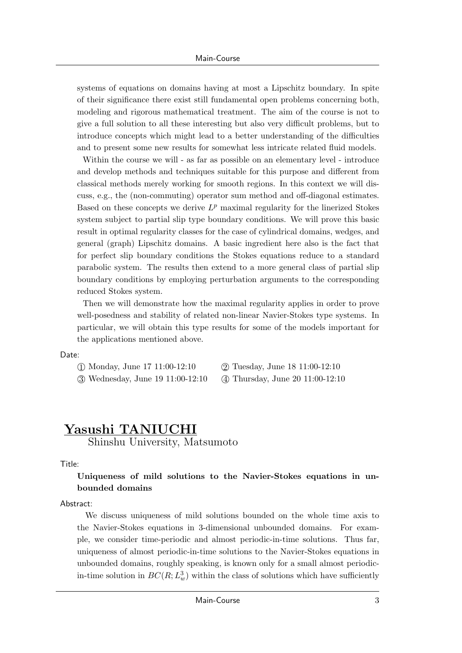systems of equations on domains having at most a Lipschitz boundary. In spite of their significance there exist still fundamental open problems concerning both, modeling and rigorous mathematical treatment. The aim of the course is not to give a full solution to all these interesting but also very difficult problems, but to introduce concepts which might lead to a better understanding of the difficulties and to present some new results for somewhat less intricate related fluid models.

Within the course we will - as far as possible on an elementary level - introduce and develop methods and techniques suitable for this purpose and different from classical methods merely working for smooth regions. In this context we will discuss, e.g., the (non-commuting) operator sum method and off-diagonal estimates. Based on these concepts we derive  $L^p$  maximal regularity for the linerized Stokes system subject to partial slip type boundary conditions. We will prove this basic result in optimal regularity classes for the case of cylindrical domains, wedges, and general (graph) Lipschitz domains. A basic ingredient here also is the fact that for perfect slip boundary conditions the Stokes equations reduce to a standard parabolic system. The results then extend to a more general class of partial slip boundary conditions by employing perturbation arguments to the corresponding reduced Stokes system.

Then we will demonstrate how the maximal regularity applies in order to prove well-posedness and stability of related non-linear Navier-Stokes type systems. In particular, we will obtain this type results for some of the models important for the applications mentioned above.

#### Date:

- *⃝*1 Monday, June 17 11:00-12:10 *⃝*2 Tuesday, June 18 11:00-12:10
	-
- 
- *⃝*3 Wednesday, June 19 11:00-12:10 *⃝*4 Thursday, June 20 11:00-12:10

# **Yasushi TANIUCHI**

Shinshu University, Matsumoto

#### Title:

### **Uniqueness of mild solutions to the Navier-Stokes equations in unbounded domains**

#### Abstract:

We discuss uniqueness of mild solutions bounded on the whole time axis to the Navier-Stokes equations in 3-dimensional unbounded domains. For example, we consider time-periodic and almost periodic-in-time solutions. Thus far, uniqueness of almost periodic-in-time solutions to the Navier-Stokes equations in unbounded domains, roughly speaking, is known only for a small almost periodicin-time solution in  $BC(R; L^3_w)$  within the class of solutions which have sufficiently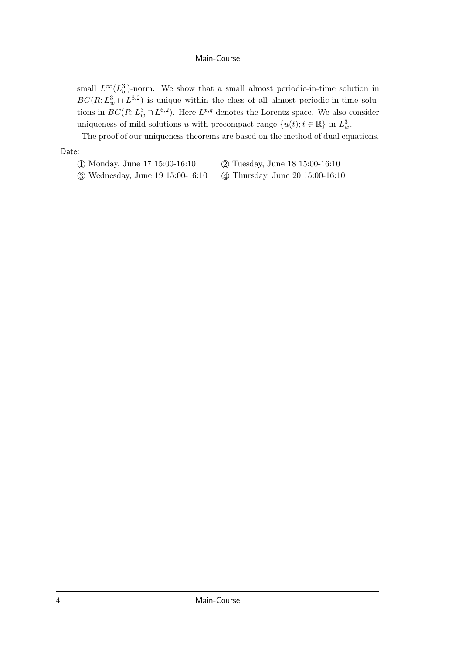small  $L^\infty(L^3_w)$ -norm. We show that a small almost periodic-in-time solution in  $BC(R; L^3_w \cap L^{6,2})$  is unique within the class of all almost periodic-in-time solutions in  $BC(R; L^3_w \cap L^{6,2})$ . Here  $L^{p,q}$  denotes the Lorentz space. We also consider uniqueness of mild solutions *u* with precompact range  $\{u(t); t \in \mathbb{R}\}\$ in  $L^3_w$ .

The proof of our uniqueness theorems are based on the method of dual equations.

#### Date:

- *⃝*1 Monday, June 17 15:00-16:10 *⃝*2 Tuesday, June 18 15:00-16:10
	-
- *⃝*3 Wednesday, June 19 15:00-16:10 *⃝*4 Thursday, June 20 15:00-16:10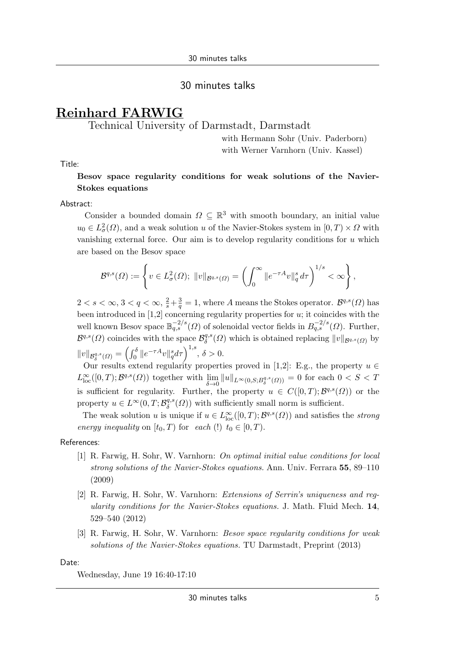### 30 minutes talks

# **Reinhard FARWIG**

### Technical University of Darmstadt, Darmstadt

with Hermann Sohr (Univ. Paderborn) with Werner Varnhorn (Univ. Kassel)

Title:

### **Besov space regularity conditions for weak solutions of the Navier-Stokes equations**

#### Abstract:

Consider a bounded domain  $\Omega \subseteq \mathbb{R}^3$  with smooth boundary, an initial value  $u_0 \in L^2_{\sigma}(\Omega)$ , and a weak solution *u* of the Navier-Stokes system in  $[0, T) \times \Omega$  with vanishing external force. Our aim is to develop regularity conditions for *u* which are based on the Besov space

$$
\mathcal{B}^{q,s}(\Omega) := \left\{ v \in L^2_\sigma(\Omega); \ \|v\|_{\mathcal{B}^{q,s}(\Omega)} = \left( \int_0^\infty \|e^{-\tau A}v\|_q^s \, d\tau \right)^{1/s} < \infty \right\},\
$$

 $2 < s < \infty$ ,  $3 < q < \infty$ ,  $\frac{2}{s} + \frac{3}{q} = 1$ , where *A* means the Stokes operator.  $\mathcal{B}^{q,s}(\Omega)$  has been introduced in [1,2] concerning regularity properties for *u*; it coincides with the well known Besov space  $\mathbb{B}_{q,s}^{-2/s}(\Omega)$  of solenoidal vector fields in  $B_{q,s}^{-2/s}(\Omega)$ . Further,  $\mathcal{B}^{q,s}(\Omega)$  coincides with the space  $\mathcal{B}^{q,s}_{\delta}$  $\int_{\delta}^{q,s}(\Omega)$  which is obtained replacing  $||v||_{\mathcal{B}^{q,s}(\Omega)}$  by  $||v||_{\mathcal{B}^{q,s}_{\delta}(\Omega)} = \left(\int_0^{\delta} ||e^{-\tau A}v||_q^s d\tau\right)^{1,s}, \delta > 0.$ 

Our results extend regularity properties proved in [1,2]: E.g., the property  $u \in$  $L^{\infty}_{\text{loc}}([0,T); \mathcal{B}^{q,s}(\Omega))$  together with  $\lim_{\delta \to 0}$  $\lim_{\delta \to 0} \|u\|_{L^{\infty}(0,S;B^{q,s}_{\delta}(\Omega))} = 0$  for each  $0 < S < T$ is sufficient for regularity. Further, the property  $u \in C([0,T); \mathcal{B}^{q,s}(\Omega))$  or the property  $u \in L^{\infty}(0,T; \mathcal{B}_{\delta}^{q,s})$  $\binom{q,s}{\delta}$  (*Ω*)) with sufficiently small norm is sufficient.

The weak solution *u* is unique if  $u \in L^{\infty}_{loc}([0, T); \mathcal{B}^{q,s}(\Omega))$  and satisfies the *strong energy inequality* on  $[t_0, T)$  for *each* (!)  $t_0 \in [0, T)$ .

#### References:

- [1] R. Farwig, H. Sohr, W. Varnhorn: *On optimal initial value conditions for local strong solutions of the Navier-Stokes equations.* Ann. Univ. Ferrara **55**, 89–110 (2009)
- [2] R. Farwig, H. Sohr, W. Varnhorn: *Extensions of Serrin's uniqueness and regularity conditions for the Navier-Stokes equations.* J. Math. Fluid Mech. **14**, 529–540 (2012)
- [3] R. Farwig, H. Sohr, W. Varnhorn: *Besov space regularity conditions for weak solutions of the Navier-Stokes equations.* TU Darmstadt, Preprint (2013)

Date:

Wednesday, June 19 16:40-17:10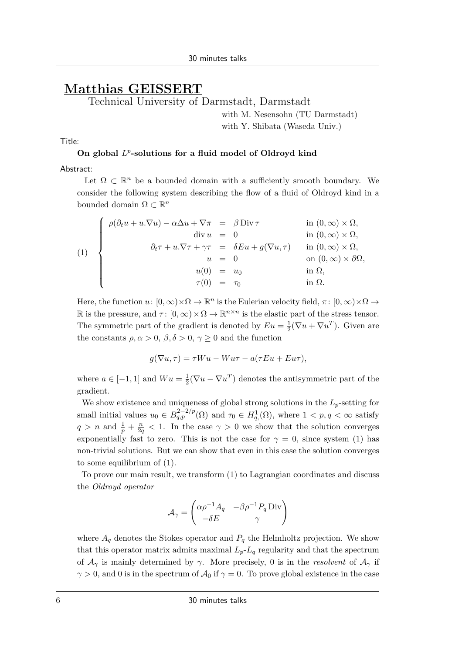# **Matthias GEISSERT**

Technical University of Darmstadt, Darmstadt

with M. Nesensohn (TU Darmstadt) with Y. Shibata (Waseda Univ.)

### Title:

### **On global** *L p* **-solutions for a fluid model of Oldroyd kind**

#### Abstract:

Let  $\Omega \subset \mathbb{R}^n$  be a bounded domain with a sufficiently smooth boundary. We consider the following system describing the flow of a fluid of Oldroyd kind in a bounded domain  $\Omega \subset \mathbb{R}^n$ 

$$
(1) \begin{cases} \rho(\partial_t u + u.\nabla u) - \alpha \Delta u + \nabla \pi = \beta \operatorname{Div} \tau & \text{in } (0, \infty) \times \Omega, \\ \operatorname{div} u = 0 & \text{in } (0, \infty) \times \Omega, \\ \partial_t \tau + u.\nabla \tau + \gamma \tau = \delta E u + g(\nabla u, \tau) & \text{in } (0, \infty) \times \Omega, \\ u = 0 & \text{on } (0, \infty) \times \partial \Omega, \\ u(0) = u_0 & \text{in } \Omega, \\ \tau(0) = \tau_0 & \text{in } \Omega. \end{cases}
$$

Here, the function  $u: [0, \infty) \times \Omega \to \mathbb{R}^n$  is the Eulerian velocity field,  $\pi: [0, \infty) \times \Omega \to$ R is the pressure, and  $\tau$ :  $[0, \infty) \times \Omega \to \mathbb{R}^{n \times n}$  is the elastic part of the stress tensor. The symmetric part of the gradient is denoted by  $Eu = \frac{1}{2}$  $\frac{1}{2}(\nabla u + \nabla u^T)$ . Given are the constants  $\rho, \alpha > 0, \beta, \delta > 0, \gamma \geq 0$  and the function

$$
g(\nabla u, \tau) = \tau W u - W u \tau - a(\tau E u + E u \tau),
$$

where  $a \in [-1, 1]$  and  $Wu = \frac{1}{2}$  $\frac{1}{2}(\nabla u - \nabla u^T)$  denotes the antisymmetric part of the gradient.

We show existence and uniqueness of global strong solutions in the  $L_p$ -setting for small initial values  $u_0 \in B_{q,p}^{2-2/p}(\Omega)$  and  $\tau_0 \in H_q^1(\Omega)$ , where  $1 < p, q < \infty$  satisfy  $q > n$  and  $\frac{1}{p} + \frac{n}{2q} < 1$ . In the case  $\gamma > 0$  we show that the solution converges exponentially fast to zero. This is not the case for  $\gamma = 0$ , since system (1) has non-trivial solutions. But we can show that even in this case the solution converges to some equilibrium of (1).

To prove our main result, we transform (1) to Lagrangian coordinates and discuss the *Oldroyd operator*

$$
\mathcal{A}_{\gamma} = \begin{pmatrix} \alpha \rho^{-1} A_q & -\beta \rho^{-1} P_q \operatorname{Div} \\ -\delta E & \gamma \end{pmatrix}
$$

where  $A_q$  denotes the Stokes operator and  $P_q$  the Helmholtz projection. We show that this operator matrix admits maximal  $L_p$ - $L_q$  regularity and that the spectrum of  $A_\gamma$  is mainly determined by  $\gamma$ . More precisely, 0 is in the *resolvent* of  $A_\gamma$  if  $\gamma > 0$ , and 0 is in the spectrum of  $\mathcal{A}_0$  if  $\gamma = 0$ . To prove global existence in the case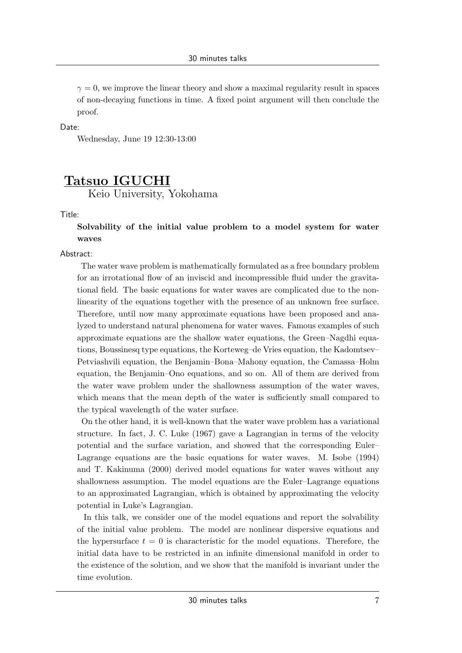$\gamma = 0$ , we improve the linear theory and show a maximal regularity result in spaces of non-decaying functions in time. A fixed point argument will then conclude the proof.

Date:

Wednesday, June 19 12:30-13:00

# **Tatsuo IGUCHI**

Keio University, Yokohama

Title:

### **Solvability of the initial value problem to a model system for water waves**

Abstract:

The water wave problem is mathematically formulated as a free boundary problem for an irrotational flow of an inviscid and incompressible fluid under the gravitational field. The basic equations for water waves are complicated due to the nonlinearity of the equations together with the presence of an unknown free surface. Therefore, until now many approximate equations have been proposed and analyzed to understand natural phenomena for water waves. Famous examples of such approximate equations are the shallow water equations, the Green–Nagdhi equations, Boussinesq type equations, the Korteweg–de Vries equation, the Kadomtsev– Petviashvili equation, the Benjamin–Bona–Mahony equation, the Camassa–Holm equation, the Benjamin–Ono equations, and so on. All of them are derived from the water wave problem under the shallowness assumption of the water waves, which means that the mean depth of the water is sufficiently small compared to the typical wavelength of the water surface.

On the other hand, it is well-known that the water wave problem has a variational structure. In fact, J. C. Luke (1967) gave a Lagrangian in terms of the velocity potential and the surface variation, and showed that the corresponding Euler– Lagrange equations are the basic equations for water waves. M. Isobe (1994) and T. Kakinuma (2000) derived model equations for water waves without any shallowness assumption. The model equations are the Euler–Lagrange equations to an approximated Lagrangian, which is obtained by approximating the velocity potential in Luke's Lagrangian.

In this talk, we consider one of the model equations and report the solvability of the initial value problem. The model are nonlinear dispersive equations and the hypersurface  $t = 0$  is characteristic for the model equations. Therefore, the initial data have to be restricted in an infinite dimensional manifold in order to the existence of the solution, and we show that the manifold is invariant under the time evolution.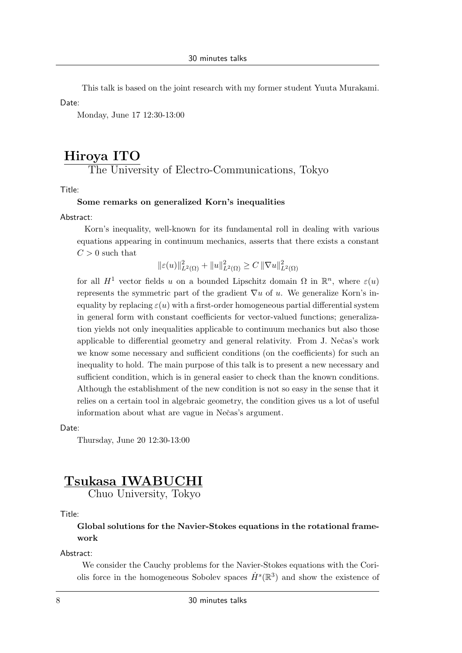This talk is based on the joint research with my former student Yuuta Murakami.

Date:

Monday, June 17 12:30-13:00

# **Hiroya ITO**

The University of Electro-Communications, Tokyo

Title:

### **Some remarks on generalized Korn's inequalities**

Abstract:

Korn's inequality, well-known for its fundamental roll in dealing with various equations appearing in continuum mechanics, asserts that there exists a constant  $C > 0$  such that

$$
\|\varepsilon(u)\|_{L^2(\Omega)}^2 + \|u\|_{L^2(\Omega)}^2 \ge C \| \nabla u \|_{L^2(\Omega)}^2
$$

for all  $H^1$  vector fields *u* on a bounded Lipschitz domain  $\Omega$  in  $\mathbb{R}^n$ , where  $\varepsilon(u)$ represents the symmetric part of the gradient *∇u* of *u*. We generalize Korn's inequality by replacing  $\varepsilon(u)$  with a first-order homogeneous partial differential system in general form with constant coefficients for vector-valued functions; generalization yields not only inequalities applicable to continuum mechanics but also those applicable to differential geometry and general relativity. From J. Nečas's work we know some necessary and sufficient conditions (on the coefficients) for such an inequality to hold. The main purpose of this talk is to present a new necessary and sufficient condition, which is in general easier to check than the known conditions. Although the establishment of the new condition is not so easy in the sense that it relies on a certain tool in algebraic geometry, the condition gives us a lot of useful information about what are vague in Nečas's argument.

Date:

Thursday, June 20 12:30-13:00

# **Tsukasa IWABUCHI**

Chuo University, Tokyo

### Title:

**Global solutions for the Navier-Stokes equations in the rotational framework**

### Abstract:

We consider the Cauchy problems for the Navier-Stokes equations with the Coriolis force in the homogeneous Sobolev spaces  $\dot{H}^s(\mathbb{R}^3)$  and show the existence of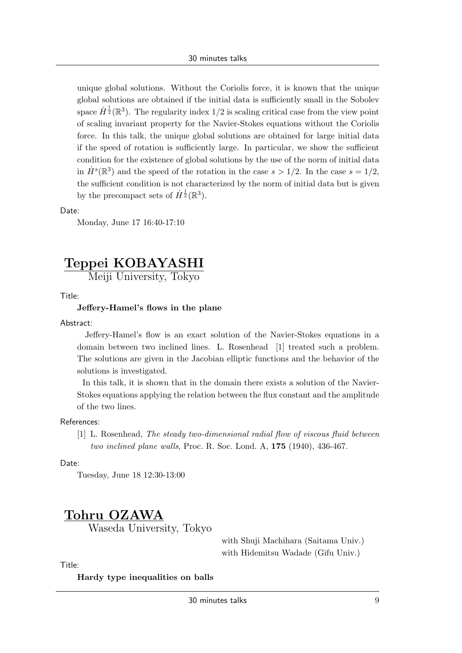unique global solutions. Without the Coriolis force, it is known that the unique global solutions are obtained if the initial data is sufficiently small in the Sobolev space  $\dot{H}^{\frac{1}{2}}(\mathbb{R}^3)$ . The regularity index 1/2 is scaling critical case from the view point of scaling invariant property for the Navier-Stokes equations without the Coriolis force. In this talk, the unique global solutions are obtained for large initial data if the speed of rotation is sufficiently large. In particular, we show the sufficient condition for the existence of global solutions by the use of the norm of initial data in  $\dot{H}^s(\mathbb{R}^3)$  and the speed of the rotation in the case  $s > 1/2$ . In the case  $s = 1/2$ , the sufficient condition is not characterized by the norm of initial data but is given by the precompact sets of  $\dot{H}^{\frac{1}{2}}(\mathbb{R}^3)$ .

#### Date:

Monday, June 17 16:40-17:10

# **Teppei KOBAYASHI**

Meiji University, Tokyo

Title:

#### **Jeffery-Hamel's flows in the plane**

Abstract:

Jeffery-Hamel's flow is an exact solution of the Navier-Stokes equations in a domain between two inclined lines. L. Rosenhead [1] treated such a problem. The solutions are given in the Jacobian elliptic functions and the behavior of the solutions is investigated.

In this talk, it is shown that in the domain there exists a solution of the Navier-Stokes equations applying the relation between the flux constant and the amplitude of the two lines.

References:

[1] L. Rosenhead, *The steady two-dimensional radial flow of viscous fluid between two inclined plane walls*, Proc. R. Soc. Lond. A, **175** (1940), 436-467.

Date:

Tuesday, June 18 12:30-13:00

# **Tohru OZAWA**

Waseda University, Tokyo

with Shuji Machihara (Saitama Univ.) with Hidemitsu Wadade (Gifu Univ.)

Title:

**Hardy type inequalities on balls**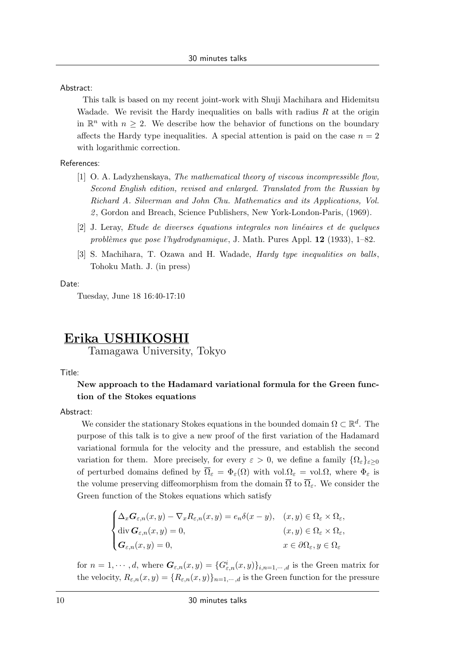Abstract:

This talk is based on my recent joint-work with Shuji Machihara and Hidemitsu Wadade. We revisit the Hardy inequalities on balls with radius *R* at the origin in  $\mathbb{R}^n$  with  $n \geq 2$ . We describe how the behavior of functions on the boundary affects the Hardy type inequalities. A special attention is paid on the case  $n = 2$ with logarithmic correction.

#### References:

- [1] O. A. Ladyzhenskaya, *The mathematical theory of viscous incompressible flow, Second English edition, revised and enlarged. Translated from the Russian by Richard A. Silverman and John Chu. Mathematics and its Applications, Vol. 2* , Gordon and Breach, Science Publishers, New York-London-Paris, (1969).
- [2] J. Leray, *Etude de diverses équations integrales non linéaires et de quelques probl`emes que pose l'hydrodynamique*, J. Math. Pures Appl. **12** (1933), 1–82.
- [3] S. Machihara, T. Ozawa and H. Wadade, *Hardy type inequalities on balls*, Tohoku Math. J. (in press)

#### Date:

Tuesday, June 18 16:40-17:10

# **Erika USHIKOSHI**

Tamagawa University, Tokyo

Title:

### **New approach to the Hadamard variational formula for the Green function of the Stokes equations**

### Abstract:

We consider the stationary Stokes equations in the bounded domain  $\Omega \subset \mathbb{R}^d$ . The purpose of this talk is to give a new proof of the first variation of the Hadamard variational formula for the velocity and the pressure, and establish the second variation for them. More precisely, for every  $\varepsilon > 0$ , we define a family  $\{\Omega_{\varepsilon}\}_{{\varepsilon}>0}$ of perturbed domains defined by  $\overline{\Omega}_{\varepsilon} = \Phi_{\varepsilon}(\Omega)$  with vol. $\Omega_{\varepsilon} = \text{vol}.\Omega$ , where  $\Phi_{\varepsilon}$  is the volume preserving diffeomorphism from the domain  $\overline{\Omega}$  to  $\overline{\Omega}_{\varepsilon}$ . We consider the Green function of the Stokes equations which satisfy

$$
\begin{cases} \Delta_x \mathbf{G}_{\varepsilon,n}(x,y) - \nabla_x R_{\varepsilon,n}(x,y) = e_n \delta(x-y), & (x,y) \in \Omega_{\varepsilon} \times \Omega_{\varepsilon}, \\ \operatorname{div} \mathbf{G}_{\varepsilon,n}(x,y) = 0, & (x,y) \in \Omega_{\varepsilon} \times \Omega_{\varepsilon}, \\ \mathbf{G}_{\varepsilon,n}(x,y) = 0, & x \in \partial \Omega_{\varepsilon}, y \in \Omega_{\varepsilon} \end{cases}
$$

for  $n = 1, \dots, d$ , where  $G_{\varepsilon,n}(x, y) = \{G_{\varepsilon,n}(x, y)\}_{i,n=1,\dots,d}$  is the Green matrix for the velocity,  $R_{\varepsilon,n}(x,y) = \{R_{\varepsilon,n}(x,y)\}_{n=1,\cdots,d}$  is the Green function for the pressure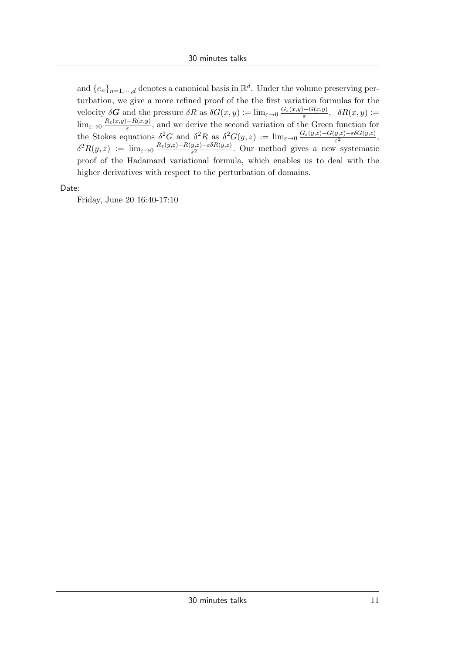and  $\{e_n\}_{n=1,\dots,d}$  denotes a canonical basis in  $\mathbb{R}^d$ . Under the volume preserving perturbation, we give a more refined proof of the the first variation formulas for the  $\text{velocity } \delta \mathbf{G} \text{ and the pressure } \delta R \text{ as } \delta G(x, y) := \lim_{\varepsilon \to 0} \frac{G_{\varepsilon}(x, y) - G(x, y)}{\varepsilon}, \quad \delta R(x, y) :=$  $\lim_{\varepsilon \to 0} \frac{R_{\varepsilon}(x,y) - R(x,y)}{\varepsilon}$ , and we derive the second variation of the Green function for the Stokes equations  $\delta^2 G$  and  $\delta^2 R$  as  $\delta^2 G(y, z) := \lim_{\varepsilon \to 0} \frac{G_{\varepsilon}(y, z) - G(y, z) - \varepsilon \delta G(y, z)}{\varepsilon^2},$  $\delta^2 R(y, z) := \lim_{\varepsilon \to 0} \frac{R_{\varepsilon}(y, z) - R(y, z) - \varepsilon \delta R(y, z)}{\varepsilon^2}$ . Our method gives a new systematic proof of the Hadamard variational formula, which enables us to deal with the higher derivatives with respect to the perturbation of domains.

Date:

Friday, June 20 16:40-17:10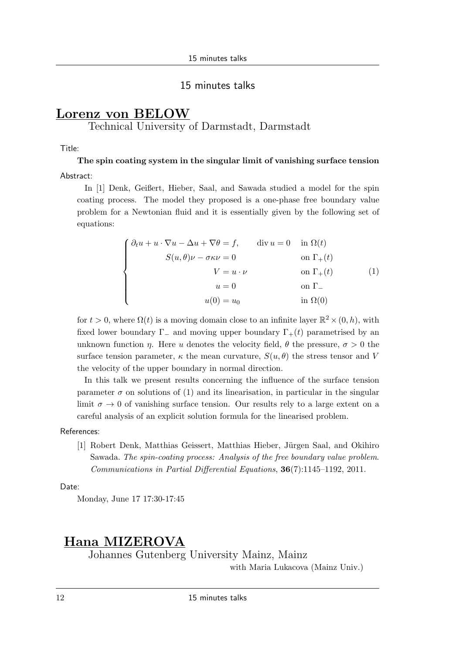### 15 minutes talks

# **Lorenz von BELOW**

Technical University of Darmstadt, Darmstadt

### Title:

### **The spin coating system in the singular limit of vanishing surface tension**

#### Abstract:

In [1] Denk, Geißert, Hieber, Saal, and Sawada studied a model for the spin coating process. The model they proposed is a one-phase free boundary value problem for a Newtonian fluid and it is essentially given by the following set of equations:

$$
\begin{cases}\n\partial_t u + u \cdot \nabla u - \Delta u + \nabla \theta = f, & \text{div } u = 0 \text{ in } \Omega(t) \\
S(u, \theta)\nu - \sigma \kappa \nu = 0 & \text{on } \Gamma_+(t) \\
V = u \cdot \nu & \text{on } \Gamma_+(t) \\
u = 0 & \text{on } \Gamma_-\n\end{cases}
$$
\n(1)\n
$$
u = 0 \text{ on } \Gamma_-\n\begin{cases}\n\alpha(0) = u_0 & \text{in } \Omega(0)\n\end{cases}
$$

for  $t > 0$ , where  $\Omega(t)$  is a moving domain close to an infinite layer  $\mathbb{R}^2 \times (0, h)$ , with fixed lower boundary  $\Gamma_-\$  and moving upper boundary  $\Gamma_+(t)$  parametrised by an unknown function *η*. Here *u* denotes the velocity field,  $\theta$  the pressure,  $\sigma > 0$  the surface tension parameter,  $\kappa$  the mean curvature,  $S(u, \theta)$  the stress tensor and V the velocity of the upper boundary in normal direction.

In this talk we present results concerning the influence of the surface tension parameter  $\sigma$  on solutions of (1) and its linearisation, in particular in the singular limit  $\sigma \to 0$  of vanishing surface tension. Our results rely to a large extent on a careful analysis of an explicit solution formula for the linearised problem.

#### References:

[1] Robert Denk, Matthias Geissert, Matthias Hieber, Jürgen Saal, and Okihiro Sawada. *The spin-coating process: Analysis of the free boundary value problem*. *Communications in Partial Differential Equations*, **36**(7):1145–1192, 2011.

Date:

Monday, June 17 17:30-17:45

# **Hana MIZEROVA**

Johannes Gutenberg University Mainz, Mainz

with Maria Lukacova (Mainz Univ.)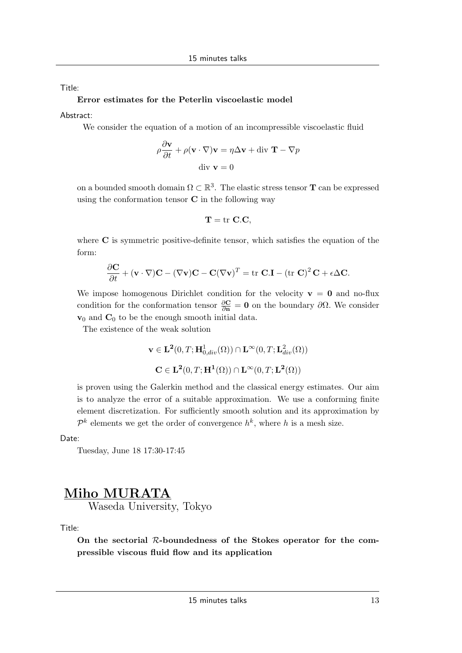Title:

#### **Error estimates for the Peterlin viscoelastic model**

Abstract:

We consider the equation of a motion of an incompressible viscoelastic fluid

$$
\rho \frac{\partial \mathbf{v}}{\partial t} + \rho (\mathbf{v} \cdot \nabla) \mathbf{v} = \eta \Delta \mathbf{v} + \text{div } \mathbf{T} - \nabla p
$$
  
div  $\mathbf{v} = 0$ 

on a bounded smooth domain  $\Omega \subset \mathbb{R}^3$ . The elastic stress tensor **T** can be expressed using the conformation tensor **C** in the following way

$$
\mathbf{T} = \mathrm{tr} \ \mathbf{C}.\mathbf{C},
$$

where **C** is symmetric positive-definite tensor, which satisfies the equation of the form:

$$
\frac{\partial \mathbf{C}}{\partial t} + (\mathbf{v} \cdot \nabla)\mathbf{C} - (\nabla \mathbf{v})\mathbf{C} - \mathbf{C}(\nabla \mathbf{v})^T = \text{tr } \mathbf{C}.\mathbf{I} - (\text{tr } \mathbf{C})^2 \mathbf{C} + \epsilon \Delta \mathbf{C}.
$$

We impose homogenous Dirichlet condition for the velocity  $\mathbf{v} = \mathbf{0}$  and no-flux condition for the conformation tensor  $\frac{\partial \mathbf{C}}{\partial \mathbf{n}} = \mathbf{0}$  on the boundary  $\partial \Omega$ . We consider  $\mathbf{v}_0$  and  $\mathbf{C}_0$  to be the enough smooth initial data.

The existence of the weak solution

$$
\mathbf{v} \in \mathbf{L}^2(0, T; \mathbf{H}^1_{0, div}(\Omega)) \cap \mathbf{L}^{\infty}(0, T; \mathbf{L}^2_{div}(\Omega))
$$
  

$$
\mathbf{C} \in \mathbf{L}^2(0, T; \mathbf{H}^1(\Omega)) \cap \mathbf{L}^{\infty}(0, T; \mathbf{L}^2(\Omega))
$$

is proven using the Galerkin method and the classical energy estimates. Our aim is to analyze the error of a suitable approximation. We use a conforming finite element discretization. For sufficiently smooth solution and its approximation by  $\mathcal{P}^k$  elements we get the order of convergence  $h^k$ , where *h* is a mesh size.

Date:

Tuesday, June 18 17:30-17:45

# **Miho MURATA**

Waseda University, Tokyo

Title:

**On the sectorial** *R***-boundedness of the Stokes operator for the compressible viscous fluid flow and its application**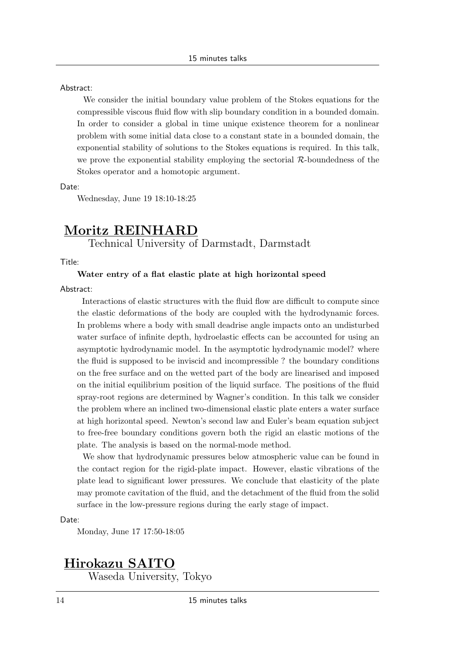Abstract:

We consider the initial boundary value problem of the Stokes equations for the compressible viscous fluid flow with slip boundary condition in a bounded domain. In order to consider a global in time unique existence theorem for a nonlinear problem with some initial data close to a constant state in a bounded domain, the exponential stability of solutions to the Stokes equations is required. In this talk, we prove the exponential stability employing the sectorial *R*-boundedness of the Stokes operator and a homotopic argument.

Date:

Wednesday, June 19 18:10-18:25

# **Moritz REINHARD**

Technical University of Darmstadt, Darmstadt

Title:

#### **Water entry of a flat elastic plate at high horizontal speed**

Abstract:

Interactions of elastic structures with the fluid flow are difficult to compute since the elastic deformations of the body are coupled with the hydrodynamic forces. In problems where a body with small deadrise angle impacts onto an undisturbed water surface of infinite depth, hydroelastic effects can be accounted for using an asymptotic hydrodynamic model. In the asymptotic hydrodynamic model? where the fluid is supposed to be inviscid and incompressible ? the boundary conditions on the free surface and on the wetted part of the body are linearised and imposed on the initial equilibrium position of the liquid surface. The positions of the fluid spray-root regions are determined by Wagner's condition. In this talk we consider the problem where an inclined two-dimensional elastic plate enters a water surface at high horizontal speed. Newton's second law and Euler's beam equation subject to free-free boundary conditions govern both the rigid an elastic motions of the plate. The analysis is based on the normal-mode method.

We show that hydrodynamic pressures below atmospheric value can be found in the contact region for the rigid-plate impact. However, elastic vibrations of the plate lead to significant lower pressures. We conclude that elasticity of the plate may promote cavitation of the fluid, and the detachment of the fluid from the solid surface in the low-pressure regions during the early stage of impact.

Date:

Monday, June 17 17:50-18:05

# **Hirokazu SAITO**

Waseda University, Tokyo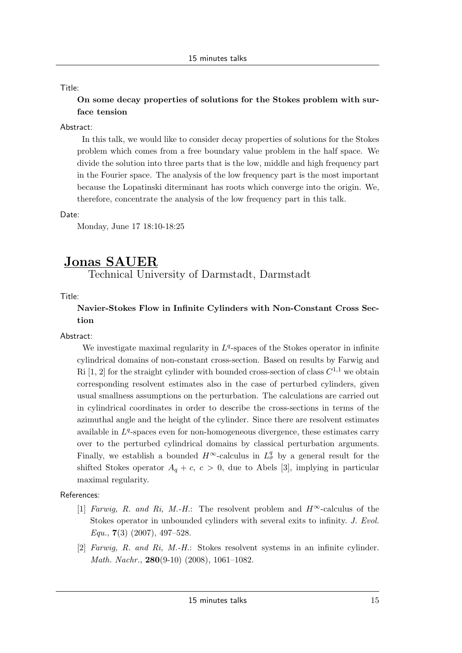### Title:

## **On some decay properties of solutions for the Stokes problem with surface tension**

### Abstract:

In this talk, we would like to consider decay properties of solutions for the Stokes problem which comes from a free boundary value problem in the half space. We divide the solution into three parts that is the low, middle and high frequency part in the Fourier space. The analysis of the low frequency part is the most important because the Lopatinski diterminant has roots which converge into the origin. We, therefore, concentrate the analysis of the low frequency part in this talk.

### Date:

Monday, June 17 18:10-18:25

# **Jonas SAUER**

Technical University of Darmstadt, Darmstadt

Title:

### **Navier-Stokes Flow in Infinite Cylinders with Non-Constant Cross Section**

### Abstract:

We investigate maximal regularity in  $L<sup>q</sup>$ -spaces of the Stokes operator in infinite cylindrical domains of non-constant cross-section. Based on results by Farwig and Ri  $[1, 2]$  for the straight cylinder with bounded cross-section of class  $C^{1,1}$  we obtain corresponding resolvent estimates also in the case of perturbed cylinders, given usual smallness assumptions on the perturbation. The calculations are carried out in cylindrical coordinates in order to describe the cross-sections in terms of the azimuthal angle and the height of the cylinder. Since there are resolvent estimates available in  $L<sup>q</sup>$ -spaces even for non-homogeneous divergence, these estimates carry over to the perturbed cylindrical domains by classical perturbation arguments. Finally, we establish a bounded  $H^{\infty}$ -calculus in  $L^q_{\sigma}$  by a general result for the shifted Stokes operator  $A_q + c$ ,  $c > 0$ , due to Abels [3], implying in particular maximal regularity.

References:

- [1] *Farwig, R. and Ri, M.-H.*: The resolvent problem and  $H^{\infty}$ -calculus of the Stokes operator in unbounded cylinders with several exits to infinity. *J. Evol. Equ.*, **7**(3) (2007), 497–528.
- [2] *Farwig, R. and Ri, M.-H.*: Stokes resolvent systems in an infinite cylinder. *Math. Nachr.*, **280**(9-10) (2008), 1061–1082.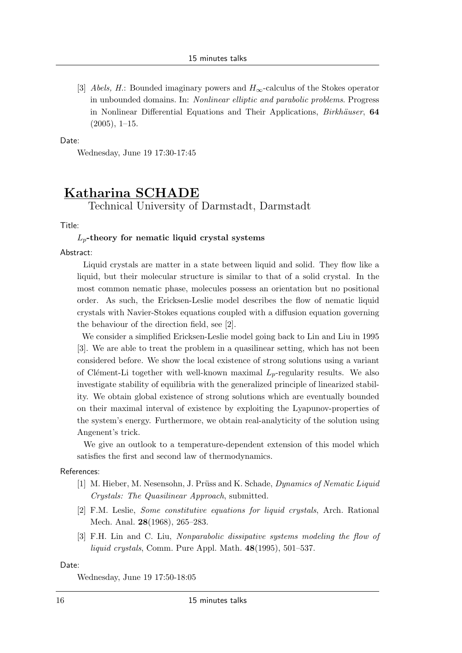[3] *Abels, H.*: Bounded imaginary powers and *H∞*-calculus of the Stokes operator in unbounded domains. In: *Nonlinear elliptic and parabolic problems*. Progress in Nonlinear Differential Equations and Their Applications, *Birkhäuser*, **64**  $(2005), 1-15.$ 

#### Date:

Wednesday, June 19 17:30-17:45

# **Katharina SCHADE** Technical University of Darmstadt, Darmstadt

Title:

#### *Lp***-theory for nematic liquid crystal systems**

Abstract:

Liquid crystals are matter in a state between liquid and solid. They flow like a liquid, but their molecular structure is similar to that of a solid crystal. In the most common nematic phase, molecules possess an orientation but no positional order. As such, the Ericksen-Leslie model describes the flow of nematic liquid crystals with Navier-Stokes equations coupled with a diffusion equation governing the behaviour of the direction field, see [2].

We consider a simplified Ericksen-Leslie model going back to Lin and Liu in 1995 [3]. We are able to treat the problem in a quasilinear setting, which has not been considered before. We show the local existence of strong solutions using a variant of Clément-Li together with well-known maximal  $L_p$ -regularity results. We also investigate stability of equilibria with the generalized principle of linearized stability. We obtain global existence of strong solutions which are eventually bounded on their maximal interval of existence by exploiting the Lyapunov-properties of the system's energy. Furthermore, we obtain real-analyticity of the solution using Angenent's trick.

We give an outlook to a temperature-dependent extension of this model which satisfies the first and second law of thermodynamics.

#### References:

- [1] M. Hieber, M. Nesensohn, J. Pr¨uss and K. Schade, *Dynamics of Nematic Liquid Crystals: The Quasilinear Approach*, submitted.
- [2] F.M. Leslie, *Some constitutive equations for liquid crystals*, Arch. Rational Mech. Anal. **28**(1968), 265–283.
- [3] F.H. Lin and C. Liu, *Nonparabolic dissipative systems modeling the flow of liquid crystals*, Comm. Pure Appl. Math. **48**(1995), 501–537.

#### Date:

Wednesday, June 19 17:50-18:05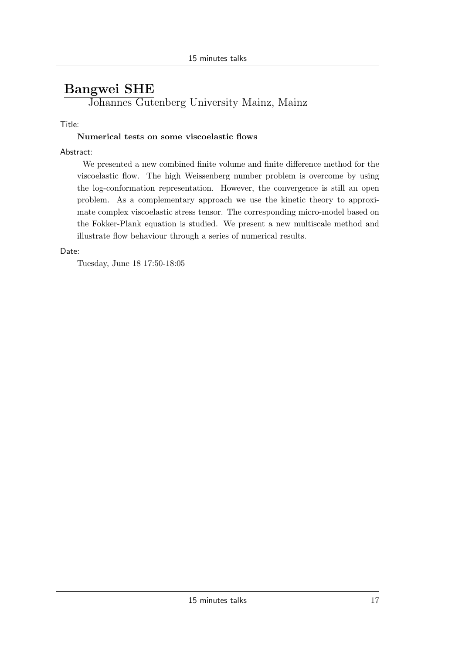# **Bangwei SHE**

Johannes Gutenberg University Mainz, Mainz

### Title:

### **Numerical tests on some viscoelastic flows**

### Abstract:

We presented a new combined finite volume and finite difference method for the viscoelastic flow. The high Weissenberg number problem is overcome by using the log-conformation representation. However, the convergence is still an open problem. As a complementary approach we use the kinetic theory to approximate complex viscoelastic stress tensor. The corresponding micro-model based on the Fokker-Plank equation is studied. We present a new multiscale method and illustrate flow behaviour through a series of numerical results.

### Date:

Tuesday, June 18 17:50-18:05